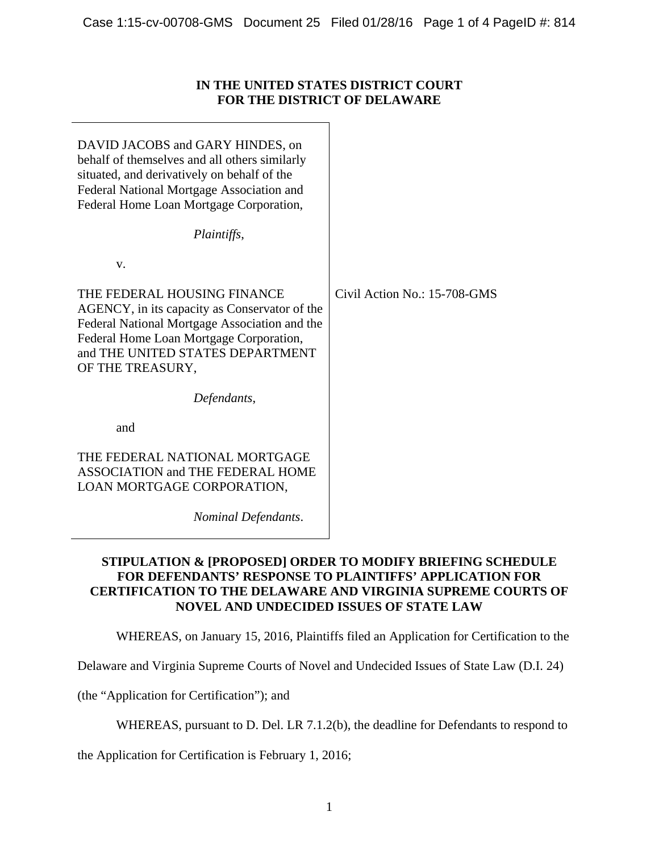## **IN THE UNITED STATES DISTRICT COURT FOR THE DISTRICT OF DELAWARE**

| DAVID JACOBS and GARY HINDES, on<br>behalf of themselves and all others similarly<br>situated, and derivatively on behalf of the<br>Federal National Mortgage Association and<br>Federal Home Loan Mortgage Corporation,<br>Plaintiffs, |                              |
|-----------------------------------------------------------------------------------------------------------------------------------------------------------------------------------------------------------------------------------------|------------------------------|
|                                                                                                                                                                                                                                         |                              |
| V.                                                                                                                                                                                                                                      |                              |
| THE FEDERAL HOUSING FINANCE<br>AGENCY, in its capacity as Conservator of the<br>Federal National Mortgage Association and the<br>Federal Home Loan Mortgage Corporation,<br>and THE UNITED STATES DEPARTMENT<br>OF THE TREASURY,        | Civil Action No.: 15-708-GMS |
| Defendants,                                                                                                                                                                                                                             |                              |
| and                                                                                                                                                                                                                                     |                              |
| THE FEDERAL NATIONAL MORTGAGE<br><b>ASSOCIATION and THE FEDERAL HOME</b><br>LOAN MORTGAGE CORPORATION,                                                                                                                                  |                              |
| Nominal Defendants.                                                                                                                                                                                                                     |                              |

## **STIPULATION & [PROPOSED] ORDER TO MODIFY BRIEFING SCHEDULE FOR DEFENDANTS' RESPONSE TO PLAINTIFFS' APPLICATION FOR CERTIFICATION TO THE DELAWARE AND VIRGINIA SUPREME COURTS OF NOVEL AND UNDECIDED ISSUES OF STATE LAW**

WHEREAS, on January 15, 2016, Plaintiffs filed an Application for Certification to the

Delaware and Virginia Supreme Courts of Novel and Undecided Issues of State Law (D.I. 24)

(the "Application for Certification"); and

WHEREAS, pursuant to D. Del. LR 7.1.2(b), the deadline for Defendants to respond to

the Application for Certification is February 1, 2016;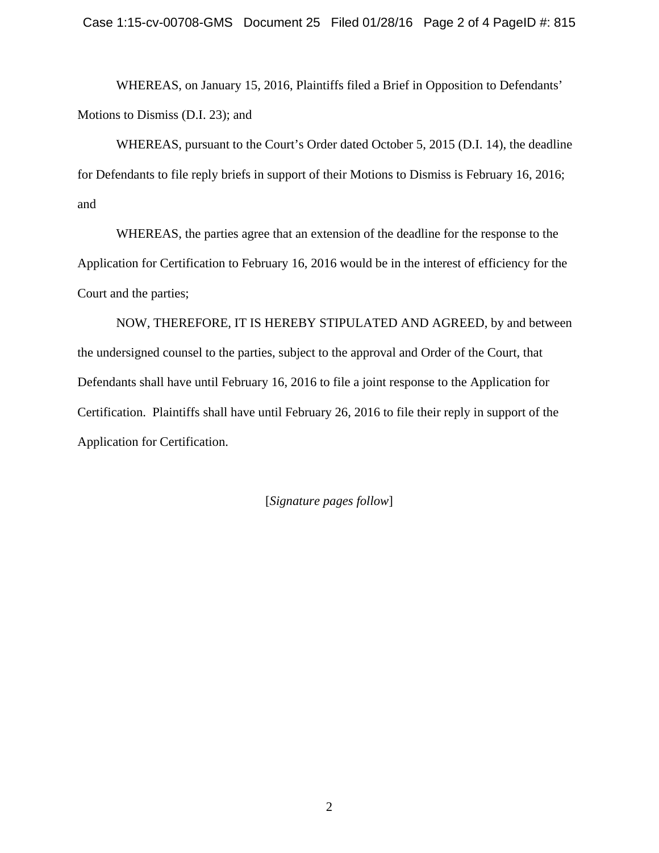WHEREAS, on January 15, 2016, Plaintiffs filed a Brief in Opposition to Defendants' Motions to Dismiss (D.I. 23); and

 WHEREAS, pursuant to the Court's Order dated October 5, 2015 (D.I. 14), the deadline for Defendants to file reply briefs in support of their Motions to Dismiss is February 16, 2016; and

 WHEREAS, the parties agree that an extension of the deadline for the response to the Application for Certification to February 16, 2016 would be in the interest of efficiency for the Court and the parties;

 NOW, THEREFORE, IT IS HEREBY STIPULATED AND AGREED, by and between the undersigned counsel to the parties, subject to the approval and Order of the Court, that Defendants shall have until February 16, 2016 to file a joint response to the Application for Certification. Plaintiffs shall have until February 26, 2016 to file their reply in support of the Application for Certification.

[*Signature pages follow*]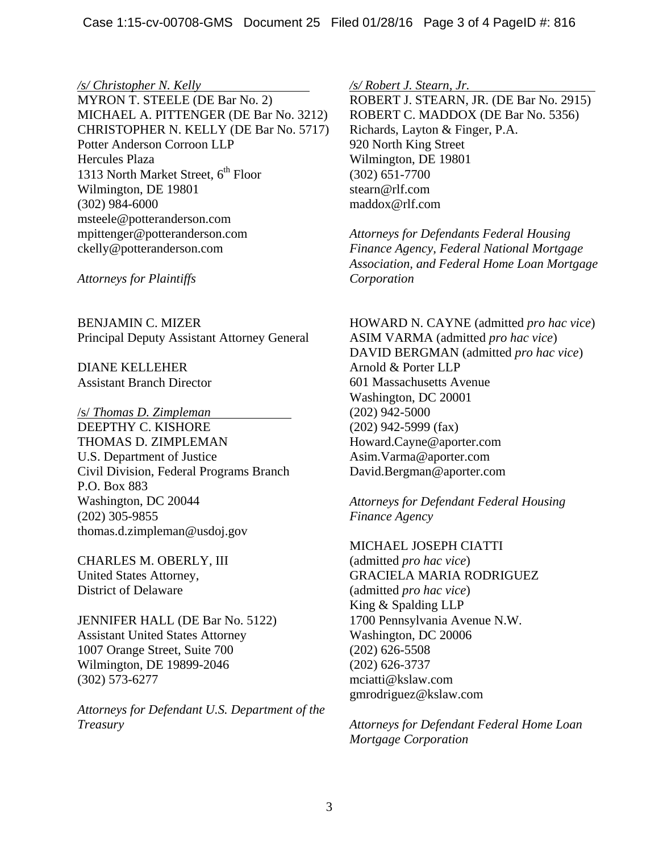*/s/ Christopher N. Kelly*  MYRON T. STEELE (DE Bar No. 2) MICHAEL A. PITTENGER (DE Bar No. 3212) CHRISTOPHER N. KELLY (DE Bar No. 5717) Potter Anderson Corroon LLP Hercules Plaza 1313 North Market Street,  $6<sup>th</sup>$  Floor Wilmington, DE 19801 (302) 984-6000 msteele@potteranderson.com mpittenger@potteranderson.com ckelly@potteranderson.com

*Attorneys for Plaintiffs*

BENJAMIN C. MIZER Principal Deputy Assistant Attorney General

DIANE KELLEHER Assistant Branch Director

/s/ *Thomas D. Zimpleman* DEEPTHY C. KISHORE THOMAS D. ZIMPLEMAN U.S. Department of Justice Civil Division, Federal Programs Branch P.O. Box 883 Washington, DC 20044 (202) 305-9855 thomas.d.zimpleman@usdoj.gov

CHARLES M. OBERLY, III United States Attorney, District of Delaware

JENNIFER HALL (DE Bar No. 5122) Assistant United States Attorney 1007 Orange Street, Suite 700 Wilmington, DE 19899-2046 (302) 573-6277

*Attorneys for Defendant U.S. Department of the Treasury* 

*/s/ Robert J. Stearn, Jr.* 

ROBERT J. STEARN, JR. (DE Bar No. 2915) ROBERT C. MADDOX (DE Bar No. 5356) Richards, Layton & Finger, P.A. 920 North King Street Wilmington, DE 19801 (302) 651-7700 stearn@rlf.com maddox@rlf.com

*Attorneys for Defendants Federal Housing Finance Agency, Federal National Mortgage Association, and Federal Home Loan Mortgage Corporation* 

HOWARD N. CAYNE (admitted *pro hac vice*) ASIM VARMA (admitted *pro hac vice*) DAVID BERGMAN (admitted *pro hac vice*) Arnold & Porter LLP 601 Massachusetts Avenue Washington, DC 20001 (202) 942-5000 (202) 942-5999 (fax) Howard.Cayne@aporter.com Asim.Varma@aporter.com David.Bergman@aporter.com

*Attorneys for Defendant Federal Housing Finance Agency* 

MICHAEL JOSEPH CIATTI (admitted *pro hac vice*) GRACIELA MARIA RODRIGUEZ (admitted *pro hac vice*) King & Spalding LLP 1700 Pennsylvania Avenue N.W. Washington, DC 20006 (202) 626-5508 (202) 626-3737 mciatti@kslaw.com gmrodriguez@kslaw.com

*Attorneys for Defendant Federal Home Loan Mortgage Corporation*